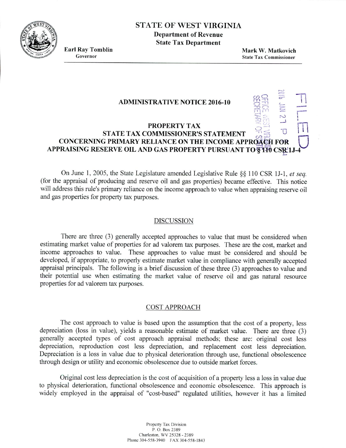# STATE OF WEST VIRGINIA

**Department of Revenue State Tax Department**

**Earl Ray Tomblin**<br> **Earl Ray Tomblin**<br> **Earl Ray Tombission Covernor**<br> **State Tax Commissioner State Tax Commissioner** 

*CI) '*

 $\overline{\mathbf{r}}$ 

### **ADMINISTRATIVE NOTICE 2016-10**

# **PROPERTY TAX STATE TAX COMMISSIONER'S STATEMENT CONCERNING PRIMARY RELIANCE ON THE INCOME APPROACH FOR APPRAISING RESERVE OIL AND GAS PROPERTY PURSUANT TO STF0 CSR1J-4**

On June 1. *2005,* the State Legislature amended Legislative Rule § 110 CSR lJ-1, *et seq.* (for the appraisal of producing and reserve oil and gas properties) became effective. This notice will address this rule's primary reliance on the income approach to value when appraising reserve oil and gas properties for property tax purposes.

## DISCUSSION

There are three *(3)* generally accepted approaches to value that must be considered when estimating market value of properties for ad valorem tax purposes. These are the cost, market and income approaches to value. These approaches to value must be considered and should be developed, if appropriate, to properly estimate market value in compliance with generally accepted appraisal principals. The following is a brief discussion of these three (3) approaches to value and their potential use when estimating the market value of reserve oil and gas natural resource properties for ad valorem tax purposes.

## COST APPROACH

The cost approach to value is based upon the assumption that the cost of a property, less depreciation (loss in value), yields a reasonable estimate of market value. There are three (3) generally accepted types of cost approach appraisal methods; these are: original cost less depreciation, reproduction cost less depreciation, and replacement cost less depreciation. Depreciation is a loss in value due to physical deterioration through use, functional obsolescence through design or utility and economic obsolescence due to outside market forces.

Original cost less depreciation is the cost of acquisition of a property less a loss in value due to physical deterioration, functional obsolescence and economic obsolescence. This approach is widely employed in the appraisal of "cost-based" regulated utilities, however it has a limited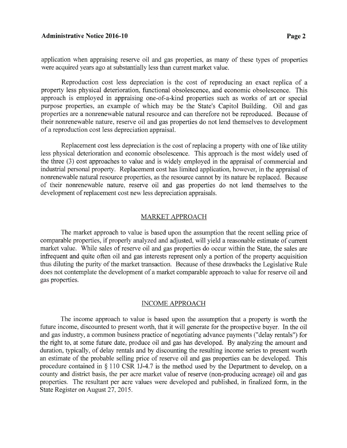#### **Administrative Notice 2016-10 Page 2**

application when appraising reserve oil and gas properties, as many of these types of properties were acquired years ago at substantially less than current market value.

Reproduction cost less depreciation is the cost of reproducing an exact replica of a property less physical deterioration, functional obsolescence, and economic obsolescence. This approach is employed in appraising one-of-a-kind properties such as works of art or special purpose properties, an example of which may be the State's Capitol Building. Oil and gas properties are a nonrenewable natural resource and can therefore not be reproduced. Because of their nonrenewable nature, reserve oil and gas properties do not lend themselves to development of a reproduction cost less depreciation appraisal.

Replacement cost less depreciation is the cost of replacing a property with one of like utility less physical deterioration and economic obsolescence. This approach is the most widely used of the three (3) cost approaches to value and is widely employed in the appraisal of commercial and industrial personal property. Replacement cost has limited application, however, in the appraisal of nonrenewable natural resource properties, as the resource cannot by its nature be replaced. Because of their nonrenewable nature, reserve oil and gas properties do not lend themselves to the development of replacement cost new less depreciation appraisals.

#### MARKET APPROACH

The market approach to value is based upon the assumption that the recent selling price of comparable properties, if properly analyzed and adjusted, will yield a reasonable estimate of current market value. While sales of reserve oil and gas properties do occur within the State, the sales are infrequent and quite often oil and gas interests represent only a portion of the property acquisition thus diluting the purity of the market transaction. Because of these drawbacks the Legislative Rule does not contemplate the development of a market comparable approach to value for reserve oil and gas properties.

### INCOME APPROACH

The income approach to value is based upon the assumption that a property is worth the future income, discounted to present worth, that it will generate for the prospective buyer. In the oil and gas industry, a common business practice of negotiating advance payments ("delay rentals") for the right to, at some future date, produce oil and gas has developed. By analyzing the amount and duration, typically, of delay rentals and by discounting the resulting income series to present worth an estimate of the probable selling price of reserve oil and gas properties can be developed. This procedure contained in § 110 CSR IJ-4.7 is the method used by the Department to develop, on a county and district basis, the per acre market value of reserve (non-producing acreage) oil and gas properties. The resultant per acre values were developed and published, in finalized form, in the State Register on August 27. 2015.